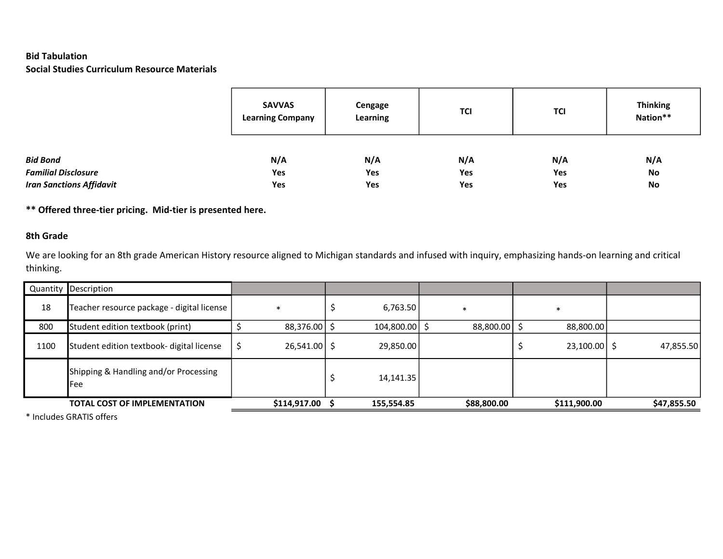### Bid Tabulation Social Studies Curriculum Resource Materials

|                                 | <b>SAVVAS</b><br><b>Learning Company</b> | Cengage<br>Learning | <b>TCI</b> | <b>TCI</b> | <b>Thinking</b><br>Nation** |
|---------------------------------|------------------------------------------|---------------------|------------|------------|-----------------------------|
| <b>Bid Bond</b>                 | N/A                                      | N/A                 | N/A        | N/A        | N/A                         |
| <b>Familial Disclosure</b>      | Yes                                      | Yes                 | Yes        | Yes        | No                          |
| <b>Iran Sanctions Affidavit</b> | Yes                                      | Yes                 | Yes        | Yes        | No                          |

\*\* Offered three-tier pricing. Mid-tier is presented here.

## 8th Grade

We are looking for an 8th grade American History resource aligned to Michigan standards and infused with inquiry, emphasizing hands-on learning and critical thinking.

|      | Quantity Description                         |                |            |             |                |             |
|------|----------------------------------------------|----------------|------------|-------------|----------------|-------------|
| 18   | Teacher resource package - digital license   | ж              | 6,763.50   | -*          |                |             |
| 800  | Student edition textbook (print)             | 88,376.00      | 104,800.00 | 88,800.00   | 88,800.00      |             |
| 1100 | Student edition textbook- digital license    | $26,541.00$ \$ | 29,850.00  |             | $23,100.00$ \$ | 47,855.50   |
|      | Shipping & Handling and/or Processing<br>Fee |                | 14,141.35  |             |                |             |
|      | <b>TOTAL COST OF IMPLEMENTATION</b>          | \$114,917.00   | 155,554.85 | \$88,800.00 | \$111,900.00   | \$47,855.50 |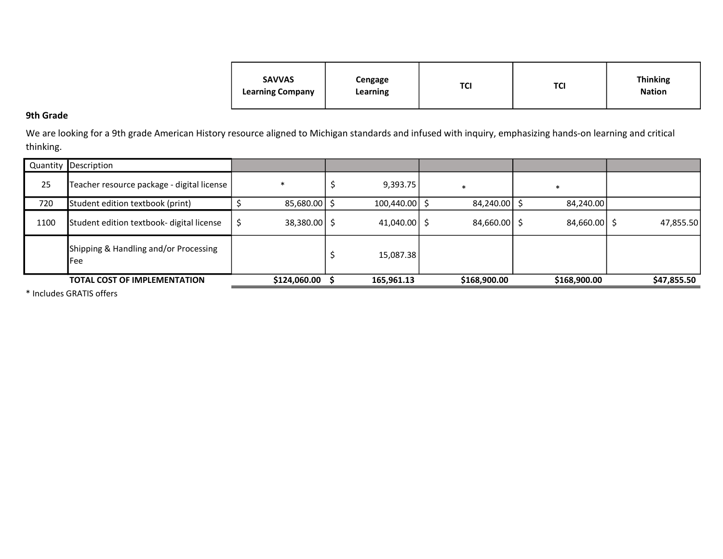| <b>SAVVAS</b><br><b>Learning Company</b> | Cengage<br>Learning | TCI | TCI | <b>Thinking</b><br><b>Nation</b> |
|------------------------------------------|---------------------|-----|-----|----------------------------------|
|                                          |                     |     |     |                                  |

# 9th Grade

We are looking for a 9th grade American History resource aligned to Michigan standards and infused with inquiry, emphasizing hands-on learning and critical thinking.

|      | Quantity Description                         |                |                |                |                |             |
|------|----------------------------------------------|----------------|----------------|----------------|----------------|-------------|
| 25   | Teacher resource package - digital license   |                | 9,393.75       | $\ast$         | $\ast$         |             |
| 720  | Student edition textbook (print)             | 85,680.00      | 100,440.00     | 84,240.00      | 84,240.00      |             |
| 1100 | Student edition textbook- digital license    | $38,380.00$ \$ | $41,040.00$ \$ | $84,660.00$ \$ | $84,660.00$ \$ | 47,855.50   |
|      | Shipping & Handling and/or Processing<br>Fee |                | 15,087.38      |                |                |             |
|      | <b>TOTAL COST OF IMPLEMENTATION</b>          | \$124,060.00   | 165,961.13     | \$168,900.00   | \$168,900.00   | \$47,855.50 |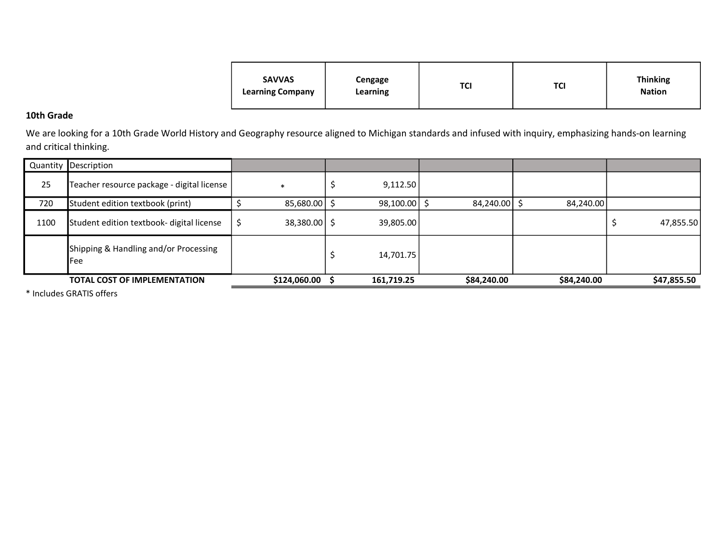| <b>SAVVAS</b><br><b>Learning Company</b> | Cengage<br>Learning | TCI | TCI | <b>Thinking</b><br><b>Nation</b> |
|------------------------------------------|---------------------|-----|-----|----------------------------------|
|                                          |                     |     |     |                                  |

### 10th Grade

We are looking for a 10th Grade World History and Geography resource aligned to Michigan standards and infused with inquiry, emphasizing hands-on learning and critical thinking.

|      | Quantity Description                         |                      |            |             |             |             |
|------|----------------------------------------------|----------------------|------------|-------------|-------------|-------------|
| 25   | Teacher resource package - digital license   | $\ast$               | 9,112.50   |             |             |             |
| 720  | Student edition textbook (print)             | 85,680.00            | 98,100.00  | 84,240.00   | 84,240.00   |             |
| 1100 | Student edition textbook- digital license    | \$<br>$38,380.00$ \$ | 39,805.00  |             |             | 47,855.50   |
|      | Shipping & Handling and/or Processing<br>Fee |                      | 14,701.75  |             |             |             |
|      | <b>TOTAL COST OF IMPLEMENTATION</b>          | \$124,060.00         | 161,719.25 | \$84,240.00 | \$84,240.00 | \$47,855.50 |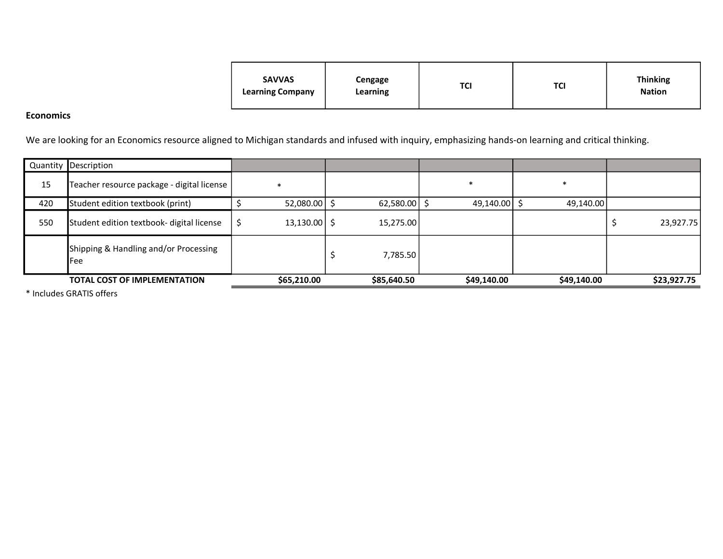| <b>SAVVAS</b><br><b>Learning Company</b> | Cengage<br>Learning | TCI | TCI | <b>Thinking</b><br><b>Nation</b> |
|------------------------------------------|---------------------|-----|-----|----------------------------------|
|                                          |                     |     |     |                                  |

#### Economics

We are looking for an Economics resource aligned to Michigan standards and infused with inquiry, emphasizing hands-on learning and critical thinking.

|     | Quantity Description                         |                |                |              |             |             |
|-----|----------------------------------------------|----------------|----------------|--------------|-------------|-------------|
| 15  | Teacher resource package - digital license   |                |                |              | $\ast$      |             |
| 420 | Student edition textbook (print)             | 52,080.00      | $62,580.00$ \$ | 49,140.00 \$ | 49,140.00   |             |
| 550 | Student edition textbook- digital license    | $13,130.00$ \$ | 15,275.00      |              |             | 23,927.75   |
|     | Shipping & Handling and/or Processing<br>Fee |                | 7,785.50       |              |             |             |
|     | <b>TOTAL COST OF IMPLEMENTATION</b>          | \$65,210.00    | \$85,640.50    | \$49,140.00  | \$49,140.00 | \$23,927.75 |